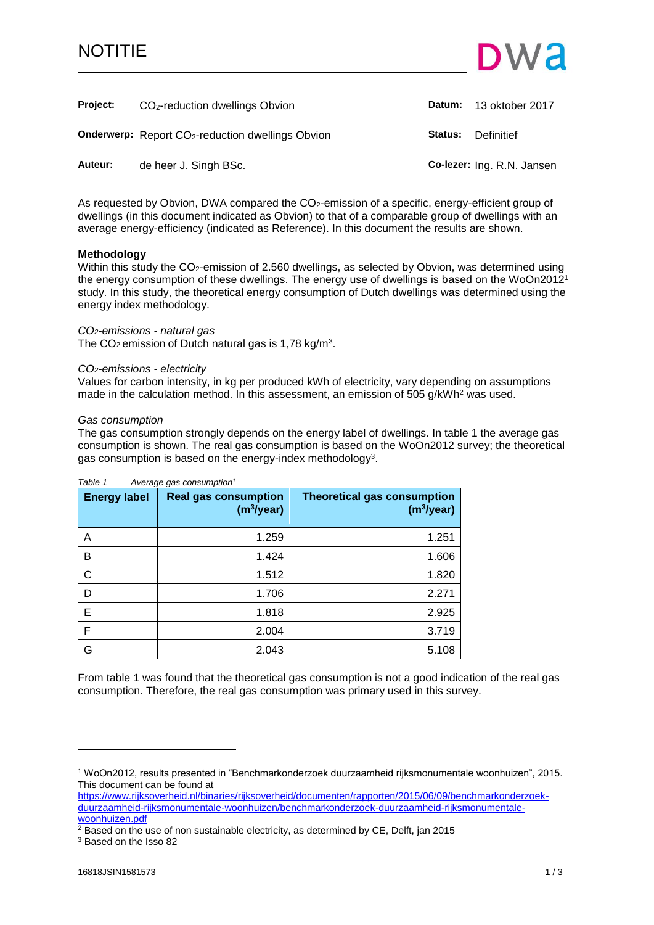# NOTITIE



<span id="page-0-0"></span>

| <b>Project:</b> | CO <sub>2</sub> -reduction dwellings Obvion                          |         | Datum: 13 oktober 2017     |
|-----------------|----------------------------------------------------------------------|---------|----------------------------|
|                 | <b>Onderwerp:</b> Report CO <sub>2</sub> -reduction dwellings Obvion | Status: | Definitief                 |
| Auteur:         | de heer J. Singh BSc.                                                |         | Co-lezer: Ing. R.N. Jansen |

As requested by Obvion, DWA compared the CO<sub>2</sub>-emission of a specific, energy-efficient group of dwellings (in this document indicated as Obvion) to that of a comparable group of dwellings with an average energy-efficiency (indicated as Reference). In this document the results are shown.

## **Methodology**

Within this study the CO<sub>2</sub>-emission of 2.560 dwellings, as selected by Obvion, was determined using the energy consumption of these dwellings. The energy use of dwellings is based on the WoOn2012<sup>1</sup> study. In this study, the theoretical energy consumption of Dutch dwellings was determined using the energy index methodology.

### *CO2-emissions - natural gas*

The CO<sub>2</sub> emission of Dutch natural gas is 1,78 kg/m<sup>3</sup>.

### *CO2-emissions - electricity*

Values for carbon intensity, in kg per produced kWh of electricity, vary depending on assumptions made in the calculation method. In this assessment, an emission of 505 g/kWh<sup>2</sup> was used.

### *Gas consumption*

The gas consumption strongly depends on the energy label of dwellings. In table 1 the average gas consumption is shown. The real gas consumption is based on the WoOn2012 survey; the theoretical gas consumption is based on the energy-index methodology<sup>3</sup>.

| <b>Energy label</b> | . <i> </i> g . <i></i><br><b>Real gas consumption</b><br>(m <sup>3</sup> /year) | <b>Theoretical gas consumption</b><br>(m <sup>3</sup> /year) |
|---------------------|---------------------------------------------------------------------------------|--------------------------------------------------------------|
| Α                   | 1.259                                                                           | 1.251                                                        |
| B                   | 1.424                                                                           | 1.606                                                        |
| С                   | 1.512                                                                           | 1.820                                                        |
| D                   | 1.706                                                                           | 2.271                                                        |
| Е                   | 1.818                                                                           | 2.925                                                        |
| F                   | 2.004                                                                           | 3.719                                                        |
| G                   | 2.043                                                                           | 5.108                                                        |

# *Table 1 Average gas consumption<sup>1</sup>*

From table 1 was found that the theoretical gas consumption is not a good indication of the real gas consumption. Therefore, the real gas consumption was primary used in this survey.

[https://www.rijksoverheid.nl/binaries/rijksoverheid/documenten/rapporten/2015/06/09/benchmarkonderzoek](https://www.rijksoverheid.nl/binaries/rijksoverheid/documenten/rapporten/2015/06/09/benchmarkonderzoek-duurzaamheid-rijksmonumentale-woonhuizen/benchmarkonderzoek-duurzaamheid-rijksmonumentale-woonhuizen.pdf)[duurzaamheid-rijksmonumentale-woonhuizen/benchmarkonderzoek-duurzaamheid-rijksmonumentale](https://www.rijksoverheid.nl/binaries/rijksoverheid/documenten/rapporten/2015/06/09/benchmarkonderzoek-duurzaamheid-rijksmonumentale-woonhuizen/benchmarkonderzoek-duurzaamheid-rijksmonumentale-woonhuizen.pdf)[woonhuizen.pdf](https://www.rijksoverheid.nl/binaries/rijksoverheid/documenten/rapporten/2015/06/09/benchmarkonderzoek-duurzaamheid-rijksmonumentale-woonhuizen/benchmarkonderzoek-duurzaamheid-rijksmonumentale-woonhuizen.pdf)

 $2$  Based on the use of non sustainable electricity, as determined by CE, Delft, jan 2015

<sup>3</sup> Based on the Isso 82

l

<sup>1</sup> WoOn2012, results presented in "Benchmarkonderzoek duurzaamheid rijksmonumentale woonhuizen", 2015. This document can be found at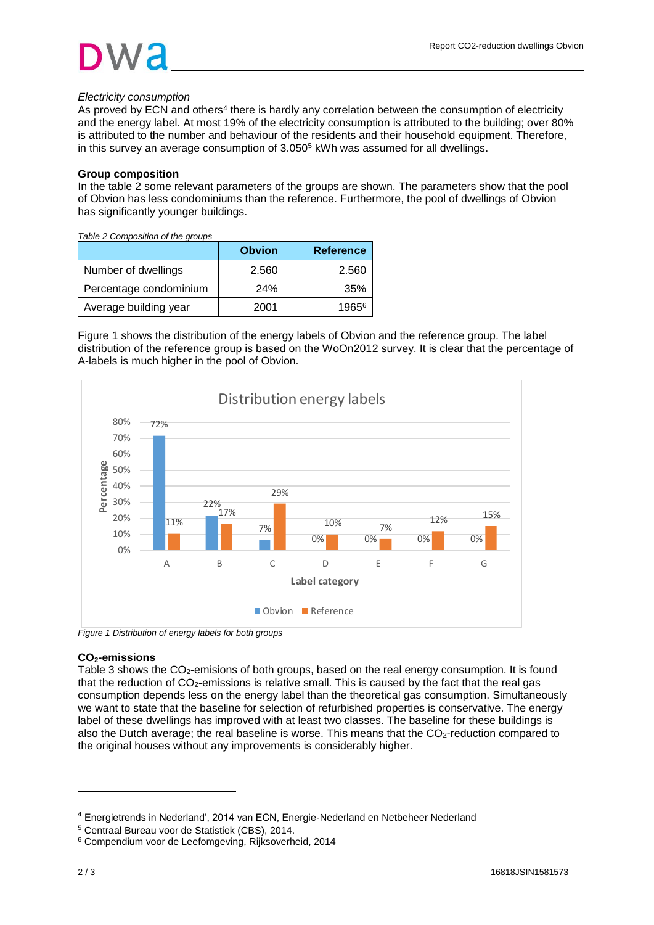# *Electricity consumption*

As proved by ECN and others<sup>4</sup> there is hardly any correlation between the consumption of electricity and the energy label. At most 19% of the electricity consumption is attributed to the building; over 80% is attributed to the number and behaviour of the residents and their household equipment. Therefore, in this survey an average consumption of 3.050<sup>5</sup> kWh was assumed for all dwellings.

# **Group composition**

In the table 2 some relevant parameters of the groups are shown. The parameters show that the pool of Obvion has less condominiums than the reference. Furthermore, the pool of dwellings of Obvion has significantly younger buildings.

*Table 2 Composition of the groups*

|                        | <b>Obvion</b> | <b>Reference</b> |
|------------------------|---------------|------------------|
| Number of dwellings    | 2.560         | 2.560            |
| Percentage condominium | 24%           | 35%              |
| Average building year  | 2001          | 19656            |

Figure 1 shows the distribution of the energy labels of Obvion and the reference group. The label distribution of the reference group is based on the WoOn2012 survey. It is clear that the percentage of A-labels is much higher in the pool of Obvion.



*Figure 1 Distribution of energy labels for both groups*

# **CO2-emissions**

Table 3 shows the CO<sub>2</sub>-emisions of both groups, based on the real energy consumption. It is found that the reduction of CO<sub>2</sub>-emissions is relative small. This is caused by the fact that the real gas consumption depends less on the energy label than the theoretical gas consumption. Simultaneously we want to state that the baseline for selection of refurbished properties is conservative. The energy label of these dwellings has improved with at least two classes. The baseline for these buildings is also the Dutch average; the real baseline is worse. This means that the CO<sub>2</sub>-reduction compared to the original houses without any improvements is considerably higher.

l

<sup>4</sup> Energietrends in Nederland', 2014 van ECN, Energie-Nederland en Netbeheer Nederland

<sup>5</sup> Centraal Bureau voor de Statistiek (CBS), 2014.

<sup>6</sup> Compendium voor de Leefomgeving, Rijksoverheid, 2014